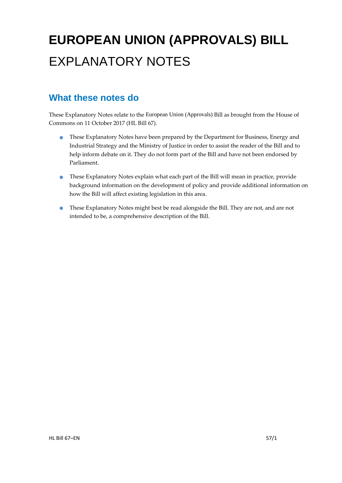# **EUROPEAN UNION (APPROVALS) BILL**  EXPLANATORY NOTES

#### **What these notes do**

- These Explanatory Notes have been prepared by the Department for Business, Energy and Industrial Strategy and the Ministry of Justice in order to assist the reader of the Bill and to help inform debate on it. They do not form part of the Bill and have not been endorsed by Parliament.
- These Explanatory Notes explain what each part of the Bill will mean in practice, provide background information on the development of policy and provide additional information on how the Bill will affect existing legislation in this area.
- These Explanatory Notes might best be read alongside the Bill. They are not, and are not intended to be, a comprehensive description of the Bill.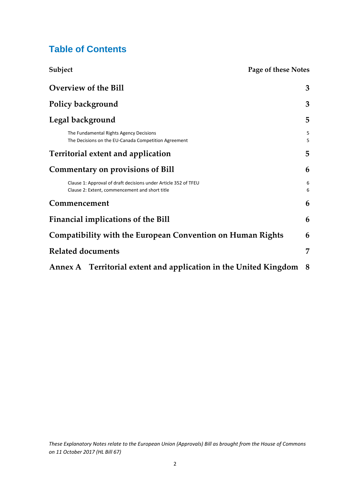#### **Table of Contents**

| Subject<br>Page of these Notes                                                                                    |        |
|-------------------------------------------------------------------------------------------------------------------|--------|
| <b>Overview of the Bill</b>                                                                                       | 3      |
| <b>Policy background</b>                                                                                          | 3      |
| Legal background                                                                                                  | 5      |
| The Fundamental Rights Agency Decisions<br>The Decisions on the EU-Canada Competition Agreement                   | 5<br>5 |
| <b>Territorial extent and application</b>                                                                         | 5      |
| <b>Commentary on provisions of Bill</b>                                                                           | 6      |
| Clause 1: Approval of draft decisions under Article 352 of TFEU<br>Clause 2: Extent, commencement and short title | 6<br>6 |
| Commencement                                                                                                      | 6      |
| <b>Financial implications of the Bill</b>                                                                         | 6      |
| <b>Compatibility with the European Convention on Human Rights</b>                                                 | 6      |
| <b>Related documents</b>                                                                                          | 7      |
| Annex A Territorial extent and application in the United Kingdom                                                  | 8      |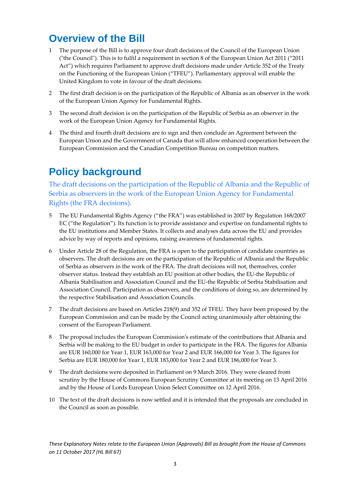### **Overview of the Bill**

- 1 The purpose of the Bill is to approve four draft decisions of the Council of the European Union ("the Council"). This is to fulfil a requirement in section 8 of the European Union Act 2011 ("2011 Act") which requires Parliament to approve draft decisions made under Article 352 of the Treaty on the Functioning of the European Union ("TFEU"). Parliamentary approval will enable the United Kingdom to vote in favour of the draft decisions.
- 2 The first draft decision is on the participation of the Republic of Albania as an observer in the work of the European Union Agency for Fundamental Rights.
- 3 The second draft decision is on the participation of the Republic of Serbia as an observer in the work of the European Union Agency for Fundamental Rights.
- 4 The third and fourth draft decisions are to sign and then conclude an Agreement between the European Union and the Government of Canada that will allow enhanced cooperation between the European Commission and the Canadian Competition Bureau on competition matters.

# **Policy background**

The draft decisions on the participation of the Republic of Albania and the Republic of Serbia as observers in the work of the European Union Agency for Fundamental Rights (the FRA decisions).

- 5 The EU Fundamental Rights Agency ("the FRA") was established in 2007 by Regulation 168/2007 EC ("the Regulation"). Its function is to provide assistance and expertise on fundamental rights to the EU institutions and Member States. It collects and analyses data across the EU and provides advice by way of reports and opinions, raising awareness of fundamental rights.
- 6 Under Article 28 of the Regulation, the FRA is open to the participation of candidate countries as observers. The draft decisions are on the participation of the Republic of Albania and the Republic of Serbia as observers in the work of the FRA. The draft decisions will not, themselves, confer observer status. Instead they establish an EU position at other bodies, the EU-the Republic of Albania Stabilisation and Association Council and the EU-the Republic of Serbia Stabilisation and Association Council. Participation as observers, and the conditions of doing so, are determined by the respective Stabilisation and Association Councils.
- 7 The draft decisions are based on Articles 218(9) and 352 of TFEU. They have been proposed by the European Commission and can be made by the Council acting unanimously after obtaining the consent of the European Parliament.
- 8 The proposal includes the European Commission's estimate of the contributions that Albania and Serbia will be making to the EU budget in order to participate in the FRA. The figures for Albania are EUR 160,000 for Year 1, EUR 163,000 for Year 2 and EUR 166,000 for Year 3. The figures for Serbia are EUR 180,000 for Year 1, EUR 183,000 for Year 2 and EUR 186,000 for Year 3.
- 9 The draft decisions were deposited in Parliament on 9 March 2016. They were cleared from scrutiny by the House of Commons European Scrutiny Committee at its meeting on 13 April 2016 and by the House of Lords European Union Select Committee on 12 April 2016.
- 10 The text of the draft decisions is now settled and it is intended that the proposals are concluded in the Council as soon as possible.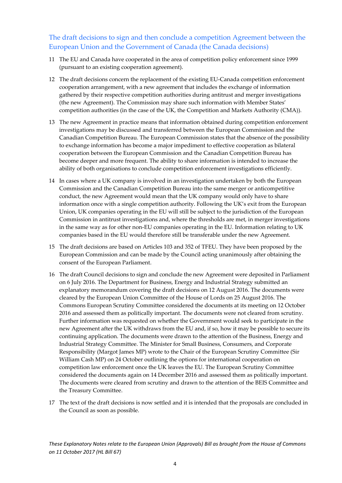#### The draft decisions to sign and then conclude a competition Agreement between the European Union and the Government of Canada (the Canada decisions)

- 11 The EU and Canada have cooperated in the area of competition policy enforcement since 1999 (pursuant to an existing cooperation agreement).
- 12 The draft decisions concern the replacement of the existing EU-Canada competition enforcement cooperation arrangement, with a new agreement that includes the exchange of information gathered by their respective competition authorities during antitrust and merger investigations (the new Agreement). The Commission may share such information with Member States' competition authorities (in the case of the UK, the Competition and Markets Authority (CMA)).
- 13 The new Agreement in practice means that information obtained during competition enforcement investigations may be discussed and transferred between the European Commission and the Canadian Competition Bureau. The European Commission states that the absence of the possibility to exchange information has become a major impediment to effective cooperation as bilateral cooperation between the European Commission and the Canadian Competition Bureau has become deeper and more frequent. The ability to share information is intended to increase the ability of both organisations to conclude competition enforcement investigations efficiently.
- 14 In cases where a UK company is involved in an investigation undertaken by both the European Commission and the Canadian Competition Bureau into the same merger or anticompetitive conduct, the new Agreement would mean that the UK company would only have to share information once with a single competition authority. Following the UK's exit from the European Union, UK companies operating in the EU will still be subject to the jurisdiction of the European Commission in antitrust investigations and, where the thresholds are met, in merger investigations in the same way as for other non-EU companies operating in the EU. Information relating to UK companies based in the EU would therefore still be transferable under the new Agreement.
- 15 The draft decisions are based on Articles 103 and 352 of TFEU. They have been proposed by the European Commission and can be made by the Council acting unanimously after obtaining the consent of the European Parliament.
- 16 The draft Council decisions to sign and conclude the new Agreement were deposited in Parliament on 6 July 2016. The Department for Business, Energy and Industrial Strategy submitted an explanatory memorandum covering the draft decisions on 12 August 2016. The documents were cleared by the European Union Committee of the House of Lords on 25 August 2016. The Commons European Scrutiny Committee considered the documents at its meeting on 12 October 2016 and assessed them as politically important. The documents were not cleared from scrutiny. Further information was requested on whether the Government would seek to participate in the new Agreement after the UK withdraws from the EU and, if so, how it may be possible to secure its continuing application. The documents were drawn to the attention of the Business, Energy and Industrial Strategy Committee. The Minister for Small Business, Consumers, and Corporate Responsibility (Margot James MP) wrote to the Chair of the European Scrutiny Committee (Sir William Cash MP) on 24 October outlining the options for international cooperation on competition law enforcement once the UK leaves the EU. The European Scrutiny Committee considered the documents again on 14 December 2016 and assessed them as politically important. The documents were cleared from scrutiny and drawn to the attention of the BEIS Committee and the Treasury Committee.
- 17 The text of the draft decisions is now settled and it is intended that the proposals are concluded in the Council as soon as possible.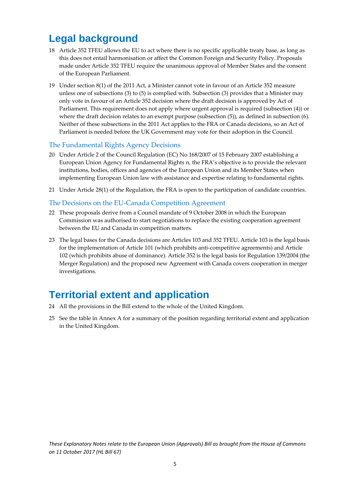## **Legal background**

- 18 Article 352 TFEU allows the EU to act where there is no specific applicable treaty base, as long as this does not entail harmonisation or affect the Common Foreign and Security Policy. Proposals made under Article 352 TFEU require the unanimous approval of Member States and the consent of the European Parliament.
- 19 Under section 8(1) of the 2011 Act, a Minister cannot vote in favour of an Article 352 measure unless one of subsections (3) to (5) is complied with. Subsection (3) provides that a Minister may only vote in favour of an Article 352 decision where the draft decision is approved by Act of Parliament. This requirement does not apply where urgent approval is required (subsection (4)) or where the draft decision relates to an exempt purpose (subsection  $(5)$ ), as defined in subsection  $(6)$ . Neither of these subsections in the 2011 Act applies to the FRA or Canada decisions, so an Act of Parliament is needed before the UK Government may vote for their adoption in the Council.

#### The Fundamental Rights Agency Decisions

- 20 Under Article 2 of the Council Regulation (EC) No 168/2007 of 15 February 2007 establishing a European Union Agency for Fundamental Rights n, the FRA's objective is to provide the relevant institutions, bodies, offices and agencies of the European Union and its Member States when implementing European Union law with assistance and expertise relating to fundamental rights.
- 21 Under Article 28(1) of the Regulation, the FRA is open to the participation of candidate countries.

#### The Decisions on the EU-Canada Competition Agreement

- 22 These proposals derive from a Council mandate of 9 October 2008 in which the European Commission was authorised to start negotiations to replace the existing cooperation agreement between the EU and Canada in competition matters.
- 23 The legal bases for the Canada decisions are Articles 103 and 352 TFEU. Article 103 is the legal basis for the implementation of Article 101 (which prohibits anti-competitive agreements) and Article 102 (which prohibits abuse of dominance). Article 352 is the legal basis for Regulation 139/2004 (the Merger Regulation) and the proposed new Agreement with Canada covers cooperation in merger investigations.

### **Territorial extent and application**

- 24 All the provisions in the Bill extend to the whole of the United Kingdom.
- 25 See the table in Annex A for a summary of the position regarding territorial extent and application in the United Kingdom.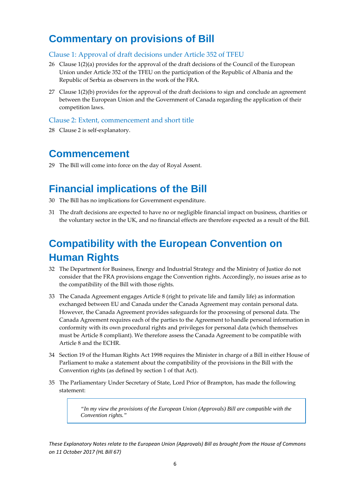### **Commentary on provisions of Bill**

#### Clause 1: Approval of draft decisions under Article 352 of TFEU

- 26 Clause 1(2)(a) provides for the approval of the draft decisions of the Council of the European Union under Article 352 of the TFEU on the participation of the Republic of Albania and the Republic of Serbia as observers in the work of the FRA.
- 27 Clause 1(2)(b) provides for the approval of the draft decisions to sign and conclude an agreement between the European Union and the Government of Canada regarding the application of their competition laws.

#### Clause 2: Extent, commencement and short title

28 Clause 2 is self-explanatory.

#### **Commencement**

29 The Bill will come into force on the day of Royal Assent.

### **Financial implications of the Bill**

- 30 The Bill has no implications for Government expenditure.
- 31 The draft decisions are expected to have no or negligible financial impact on business, charities or the voluntary sector in the UK, and no financial effects are therefore expected as a result of the Bill.

## **Compatibility with the European Convention on Human Rights**

- 32 The Department for Business, Energy and Industrial Strategy and the Ministry of Justice do not consider that the FRA provisions engage the Convention rights. Accordingly, no issues arise as to the compatibility of the Bill with those rights.
- 33 The Canada Agreement engages Article 8 (right to private life and family life) as information exchanged between EU and Canada under the Canada Agreement may contain personal data. However, the Canada Agreement provides safeguards for the processing of personal data. The Canada Agreement requires each of the parties to the Agreement to handle personal information in conformity with its own procedural rights and privileges for personal data (which themselves must be Article 8 compliant). We therefore assess the Canada Agreement to be compatible with Article 8 and the ECHR.
- 34 Section 19 of the Human Rights Act 1998 requires the Minister in charge of a Bill in either House of Parliament to make a statement about the compatibility of the provisions in the Bill with the Convention rights (as defined by section 1 of that Act).
- 35 The Parliamentary Under Secretary of State, Lord Prior of Brampton, has made the following statement:

*"In my view the provisions of the European Union (Approvals) Bill are compatible with the Convention rights."*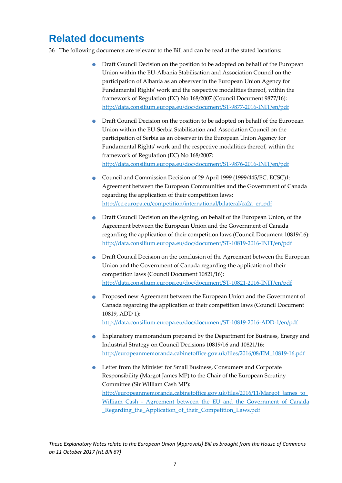### **Related documents**

- 36 The following documents are relevant to the Bill and can be read at the stated locations:
	- Draft Council Decision on the position to be adopted on behalf of the European Union within the EU-Albania Stabilisation and Association Council on the participation of Albania as an observer in the European Union Agency for Fundamental Rights' work and the respective modalities thereof, within the framework of Regulation (EC) No 168/2007 (Council Document 9877/16): http://data.consilium.europa.eu/doc/document/ST-9877-2016-INIT/en/pdf
	- Draft Council Decision on the position to be adopted on behalf of the European Union within the EU-Serbia Stabilisation and Association Council on the participation of Serbia as an observer in the European Union Agency for Fundamental Rights' work and the respective modalities thereof, within the framework of Regulation (EC) No 168/2007: http://data.consilium.europa.eu/doc/document/ST-9876-2016-INIT/en/pdf
	- Council and Commission Decision of 29 April 1999 (1999/445/EC, ECSC)1: Agreement between the European Communities and the Government of Canada regarding the application of their competition laws: http://ec.europa.eu/competition/international/bilateral/ca2a\_en.pdf
	- Draft Council Decision on the signing, on behalf of the European Union, of the Agreement between the European Union and the Government of Canada regarding the application of their competition laws (Council Document 10819/16): http://data.consilium.europa.eu/doc/document/ST-10819-2016-INIT/en/pdf
	- Draft Council Decision on the conclusion of the Agreement between the European Union and the Government of Canada regarding the application of their competition laws (Council Document 10821/16): http://data.consilium.europa.eu/doc/document/ST-10821-2016-INIT/en/pdf
	- Proposed new Agreement between the European Union and the Government of Canada regarding the application of their competition laws (Council Document 10819, ADD 1): http://data.consilium.europa.eu/doc/document/ST-10819-2016-ADD-1/en/pdf
	- Explanatory memorandum prepared by the Department for Business, Energy and Industrial Strategy on Council Decisions 10819/16 and 10821/16: http://europeanmemoranda.cabinetoffice.gov.uk/files/2016/08/EM\_10819-16.pdf
	- Letter from the Minister for Small Business, Consumers and Corporate Responsibility (Margot James MP) to the Chair of the European Scrutiny Committee (Sir William Cash MP): http://europeanmemoranda.cabinetoffice.gov.uk/files/2016/11/Margot\_James\_to\_ William Cash - Agreement between the EU and the Government of Canada Regarding the Application of their Competition Laws.pdf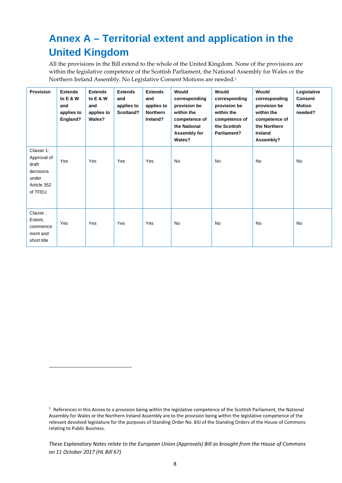# **Annex A – Territorial extent and application in the United Kingdom**

All the provisions in the Bill extend to the whole of the United Kingdom. None of the provisions are within the legislative competence of the Scottish Parliament, the National Assembly for Wales or the Northern Ireland Assembly. No Legislative Consent Motions are needed.1

| <b>Provision</b>                                                                  | <b>Extends</b><br>to E & W<br>and<br>applies to<br>England? | <b>Extends</b><br>to E & W<br>and<br>applies to<br>Wales? | <b>Extends</b><br>and<br>applies to<br>Scotland? | <b>Extends</b><br>and<br>applies to<br><b>Northern</b><br>Ireland? | Would<br>corresponding<br>provision be<br>within the<br>competence of<br>the National<br>Assembly for<br>Wales? | Would<br>corresponding<br>provision be<br>within the<br>competence of<br>the Scottish<br>Parliament? | Would<br>corresponding<br>provision be<br>within the<br>competence of<br>the Northern<br>Ireland<br>Assembly? | Legislative<br><b>Consent</b><br><b>Motion</b><br>needed? |
|-----------------------------------------------------------------------------------|-------------------------------------------------------------|-----------------------------------------------------------|--------------------------------------------------|--------------------------------------------------------------------|-----------------------------------------------------------------------------------------------------------------|------------------------------------------------------------------------------------------------------|---------------------------------------------------------------------------------------------------------------|-----------------------------------------------------------|
| Clause 1:<br>Approval of<br>draft<br>decisions<br>under<br>Article 352<br>of TFEU | Yes                                                         | Yes                                                       | Yes                                              | Yes                                                                | <b>No</b>                                                                                                       | <b>No</b>                                                                                            | <b>No</b>                                                                                                     | <b>No</b>                                                 |
| Clause:<br>Extent,<br>commence<br>ment and<br>short title                         | Yes                                                         | Yes                                                       | Yes                                              | Yes                                                                | <b>No</b>                                                                                                       | <b>No</b>                                                                                            | <b>No</b>                                                                                                     | <b>No</b>                                                 |

 $\overline{a}$ 

 $1$  References in this Annex to a provision being within the legislative competence of the Scottish Parliament, the National Assembly for Wales or the Northern Ireland Assembly are to the provision being within the legislative competence of the relevant devolved legislature for the purposes of Standing Order No. 83J of the Standing Orders of the House of Commons relating to Public Business.

*These Explanatory Notes relate to the European Union (Approvals) Bill as brought from the House of Commons on 11 October 2017 (HL Bill 67)*